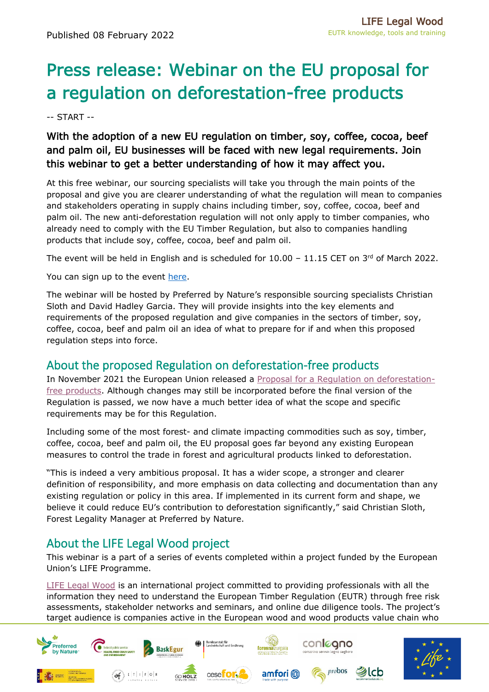## Press release: Webinar on the EU proposal for a regulation on deforestation-free products

-- START --

## With the adoption of a new EU regulation on timber, soy, coffee, cocoa, beef and palm oil, EU businesses will be faced with new legal requirements. Join this webinar to get a better understanding of how it may affect you.

At this free webinar, our sourcing specialists will take you through the main points of the proposal and give you are clearer understanding of what the regulation will mean to companies and stakeholders operating in supply chains including timber, soy, coffee, cocoa, beef and palm oil. The new anti-deforestation regulation will not only apply to timber companies, who already need to comply with the EU Timber Regulation, but also to companies handling products that include soy, coffee, cocoa, beef and palm oil.

The event will be held in English and is scheduled for  $10.00 - 11.15$  CET on  $3^{rd}$  of March 2022.

You can sign up to the event [here.](https://preferredbynature.org/events/proposed-eu-deforestation-regulation-introducing-main-elements-and-requirements-european)

The webinar will be hosted by Preferred by Nature's responsible sourcing specialists Christian Sloth and David Hadley Garcia. They will provide insights into the key elements and requirements of the proposed regulation and give companies in the sectors of timber, soy, coffee, cocoa, beef and palm oil an idea of what to prepare for if and when this proposed regulation steps into force.

## About the proposed Regulation on deforestation-free products

In November 2021 the European Union released a Proposal for a [Regulation on deforestation](https://ec.europa.eu/environment/publications/proposal-regulation-deforestation-free-products_en)[free products.](https://ec.europa.eu/environment/publications/proposal-regulation-deforestation-free-products_en) Although changes may still be incorporated before the final version of the Regulation is passed, we now have a much better idea of what the scope and specific requirements may be for this Regulation.

Including some of the most forest- and climate impacting commodities such as soy, timber, coffee, cocoa, beef and palm oil, the EU proposal goes far beyond any existing European measures to control the trade in forest and agricultural products linked to deforestation.

"This is indeed a very ambitious proposal. It has a wider scope, a stronger and clearer definition of responsibility, and more emphasis on data collecting and documentation than any existing regulation or policy in this area. If implemented in its current form and shape, we believe it could reduce EU's contribution to deforestation significantly," said Christian Sloth, Forest Legality Manager at Preferred by Nature.

## About the LIFE Legal Wood project

This webinar is a part of a series of events completed within a project funded by the European Union's LIFE Programme.

[LIFE Legal Wood](https://preferredbynature.org/projects/closing-gaps-illegal-timber-trade) is an international project committed to providing professionals with all the information they need to understand the European Timber Regulation (EUTR) through free risk assessments, stakeholder networks and seminars, and online due diligence tools. The project's target audience is companies active in the European wood and wood products value chain who